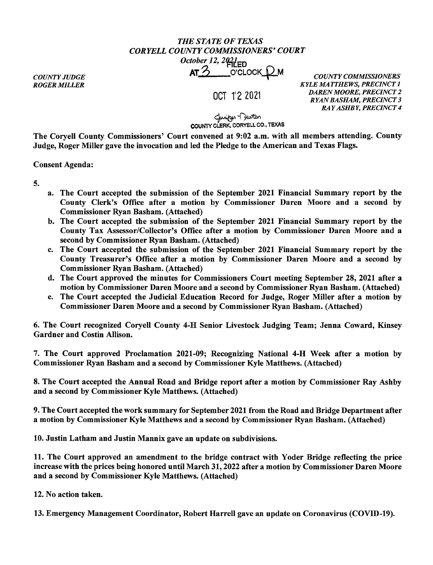## *THE STATE OF TEXAS CORYELL COUNTY COMMISSIONERS' COURT October 12, 2021***ED**

AT 2 O'CLOCK PM *COUNTY COMMISSIONERS* 

OCT 12 2021

*KYLE MATTHEWS, PRECINCT 1 DAREN MOORE, PRECINCT 2 RYAN BASHAM, PRECINCT 3 RAY ASHBY, PRECINCT 4* 

*COUNTY JUDGE ROGER MILLER* 

ل<br>COUNTY CLERK, CORYELL CO., TEXAS

The Coryell County Commissioners' Court convened at 9:02 a.m. with all members attending. County Judge, Roger Miller gave the invocation and led the Pledge to the American and Texas Flags.

Consent Agenda:

5.

- a. The Court accepted the submission of the September 2021 Financial Summary report by the County Clerk's Office after a motion by Commissioner Daren Moore and a second by Commissioner Ryan Basham. (Attached)
- b. The Court accepted the submission of the September 2021 Financial Summary report by the County Tax Assessor/Collector's Office after a motion by Commissioner Daren Moore and a second by Commissioner Ryan Basham. (Attached)
- c. The Court accepted the submission of the September 2021 Financial Summary report by the County Treasurer's Office after a motion by Commissioner Daren Moore and a second by Commissioner Ryan Basham. (Attached)
- d. The Court approved the minutes for Commissioners Court meeting September 28, 2021 after a motion by Commissioner Daren Moore and a second by Commissioner Ryan Basham. (Attached)
- e. The Court accepted the Judicial Education Record for Judge, Roger Miller after a motion by Commissioner Daren Moore and a second by Commissioner Ryan Basham. (Attached)

6. The Court recognized Coryell County 4-H Senior Livestock Judging Team; Jenna Coward, Kinsey Gardner and Costin Allison.

7. The Court approved Proclamation 2021-09; Recognizing National 4-H Week after a motion by Commissioner Ryan Basham and a second by Commissioner Kyle Matthews. (Attached)

8. The Court accepted the Annual Road and Bridge report after a motion by Commissioner Ray Ashby and a second by Commissioner Kyle Matthews. (Attached)

9. The Court accepted the work summary for September 2021 from the Road and Bridge Department after a motion by Commissioner Kyle Matthews and a second by Commissioner Ryan Basham. (Attached)

10. Justin Latham and Justin Mannix gave an update on subdivisions.

11. The Court approved an amendment to the bridge contract with Yoder Bridge reflecting the price increase with the prices being honored until March 31, 2022 after a motion by Commissioner Daren Moore and a second by Commissioner Kyle Matthews. (Attached)

12. No action taken.

13. Emergency Management Coordinator, Robert Harrell gave an update on Coronavirus (COVID-19).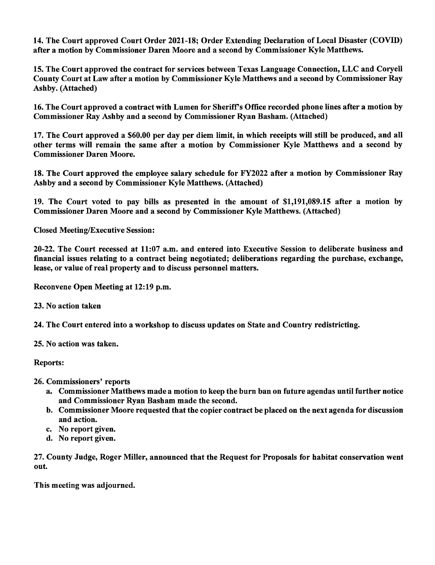14. The Court approved Court Order 2021-18; Order Extending Declaration of Local Disaster (COVID) after a motion by Commissioner Daren Moore and a second by Commissioner Kyle Matthews.

15. The Court approved the contract for services between Texas Language Connection, LLC and Coryell County Court at Law after a motion by Commissioner Kyle Matthews and a second by Commissioner Ray Ashby. (Attached)

16. The Court approved a contract with Lumen for Sheriff's Office recorded phone lines after a motion by Commissioner Ray Ashby and a second by Commissioner Ryan Basham. (Attached)

17. The Court approved a \$60.00 per day per diem limit, in which receipts will still be produced, and all other terms will remain the same after a motion by Commissioner Kyle Matthews and a second by Commissioner Daren Moore.

18. The Court approved the employee salary schedule for FY2022 after a motion by Commissioner Ray Ashby and a second by Commissioner Kyle Matthews. (Attached)

19. The Court voted to pay bills as presented in the amount of \$1,191,089.15 after a motion by Commissioner Daren Moore and a second by Commissioner Kyle Matthews. (Attached)

Closed Meeting/Executive Session:

20-22. The Court recessed at 11:07 a.m. and entered into Executive Session to deliberate business and financial issues relating to a contract being negotiated; deliberations regarding the purchase, exchange, lease, or value of real property and to discuss personnel matters.

Reconvene Open Meeting at 12:19 p.m.

23. No action taken

24. The Court entered into a workshop to discuss updates on State and Country redistricting.

25. No action was taken.

Reports:

26. Commissioners' reports

- a. Commissioner Matthews made a motion to keep the burn ban on future agendas until further notice and Commissioner Ryan Basham made the second.
- b. Commissioner Moore requested that the copier contract be placed on the next agenda for discussion and action.
- c. No report given.
- d. No report given.

27. County Judge, Roger Miller, announced that the Request for Proposals for habitat conservation went out.

This meeting was adjourned.